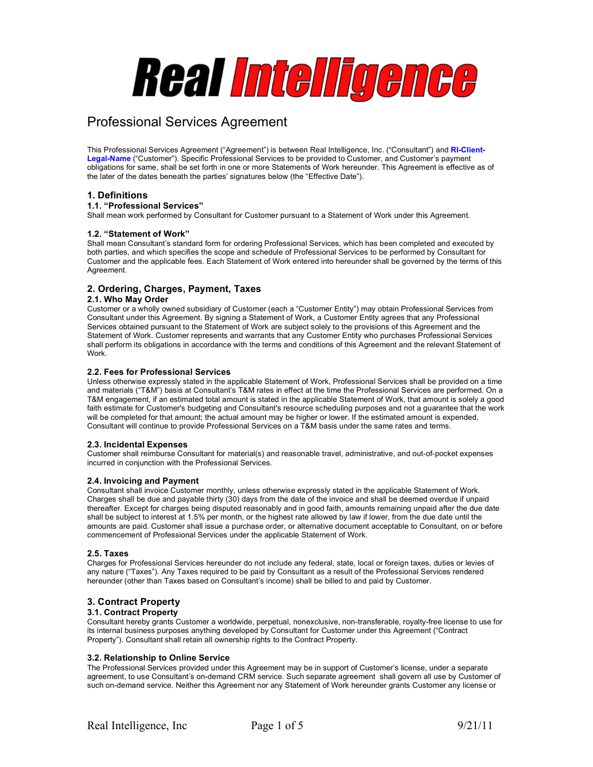# Real Intelligence

## Professional Services Agreement

This Professional Services Agreement ("Agreement") is between Real Intelligence, Inc. ("Consultant") and **RI-Client-Legal-Name** ("Customer"). Specific Professional Services to be provided to Customer, and Customer's payment obligations for same, shall be set forth in one or more Statements of Work hereunder. This Agreement is effective as of the later of the dates beneath the parties' signatures below (the "Effective Date").

#### **1. Definitions**

#### **1.1. "Professional Services"**

Shall mean work performed by Consultant for Customer pursuant to a Statement of Work under this Agreement.

#### **1.2. "Statement of Work"**

Shall mean Consultant's standard form for ordering Professional Services, which has been completed and executed by both parties, and which specifies the scope and schedule of Professional Services to be performed by Consultant for Customer and the applicable fees. Each Statement of Work entered into hereunder shall be governed by the terms of this Agreement.

#### **2. Ordering, Charges, Payment, Taxes**

#### **2.1. Who May Order**

Customer or a wholly owned subsidiary of Customer (each a "Customer Entity") may obtain Professional Services from Consultant under this Agreement. By signing a Statement of Work, a Customer Entity agrees that any Professional Services obtained pursuant to the Statement of Work are subject solely to the provisions of this Agreement and the Statement of Work. Customer represents and warrants that any Customer Entity who purchases Professional Services shall perform its obligations in accordance with the terms and conditions of this Agreement and the relevant Statement of Work.

#### **2.2. Fees for Professional Services**

Unless otherwise expressly stated in the applicable Statement of Work, Professional Services shall be provided on a time and materials ("T&M") basis at Consultant's T&M rates in effect at the time the Professional Services are performed. On a T&M engagement, if an estimated total amount is stated in the applicable Statement of Work, that amount is solely a good faith estimate for Customer's budgeting and Consultant's resource scheduling purposes and not a guarantee that the work will be completed for that amount; the actual amount may be higher or lower. If the estimated amount is expended, Consultant will continue to provide Professional Services on a T&M basis under the same rates and terms.

#### **2.3. Incidental Expenses**

Customer shall reimburse Consultant for material(s) and reasonable travel, administrative, and out-of-pocket expenses incurred in conjunction with the Professional Services.

#### **2.4. Invoicing and Payment**

Consultant shall invoice Customer monthly, unless otherwise expressly stated in the applicable Statement of Work. Charges shall be due and payable thirty (30) days from the date of the invoice and shall be deemed overdue if unpaid thereafter. Except for charges being disputed reasonably and in good faith, amounts remaining unpaid after the due date shall be subject to interest at 1.5% per month, or the highest rate allowed by law if lower, from the due date until the amounts are paid. Customer shall issue a purchase order, or alternative document acceptable to Consultant, on or before commencement of Professional Services under the applicable Statement of Work.

#### **2.5. Taxes**

Charges for Professional Services hereunder do not include any federal, state, local or foreign taxes, duties or levies of any nature ("Taxes"). Any Taxes required to be paid by Consultant as a result of the Professional Services rendered hereunder (other than Taxes based on Consultant's income) shall be billed to and paid by Customer.

#### **3. Contract Property**

#### **3.1. Contract Property**

Consultant hereby grants Customer a worldwide, perpetual, nonexclusive, non-transferable, royalty-free license to use for its internal business purposes anything developed by Consultant for Customer under this Agreement ("Contract Property"). Consultant shall retain all ownership rights to the Contract Property.

#### **3.2. Relationship to Online Service**

The Professional Services provided under this Agreement may be in support of Customer's license, under a separate agreement, to use Consultant's on-demand CRM service. Such separate agreement shall govern all use by Customer of such on-demand service. Neither this Agreement nor any Statement of Work hereunder grants Customer any license or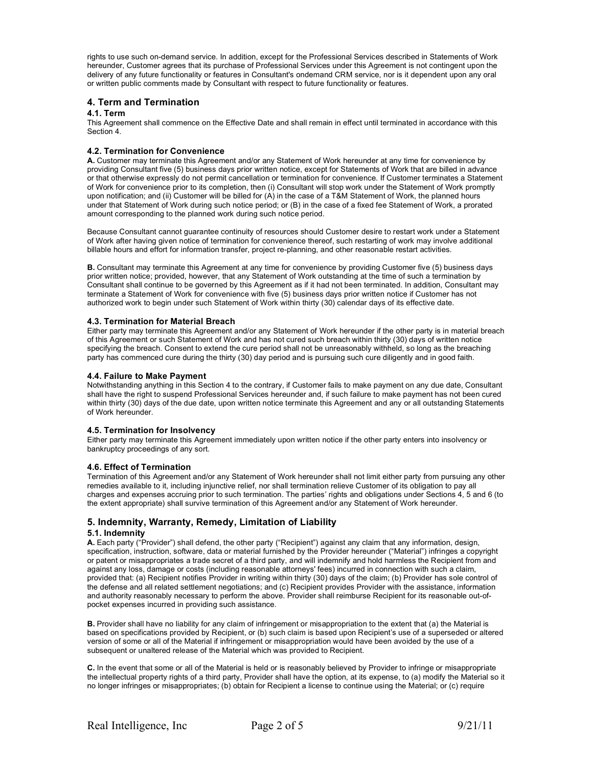rights to use such on-demand service. In addition, except for the Professional Services described in Statements of Work hereunder, Customer agrees that its purchase of Professional Services under this Agreement is not contingent upon the delivery of any future functionality or features in Consultant's ondemand CRM service, nor is it dependent upon any oral or written public comments made by Consultant with respect to future functionality or features.

#### **4. Term and Termination**

#### **4.1. Term**

This Agreement shall commence on the Effective Date and shall remain in effect until terminated in accordance with this Section 4.

#### **4.2. Termination for Convenience**

**A.** Customer may terminate this Agreement and/or any Statement of Work hereunder at any time for convenience by providing Consultant five (5) business days prior written notice, except for Statements of Work that are billed in advance or that otherwise expressly do not permit cancellation or termination for convenience. If Customer terminates a Statement of Work for convenience prior to its completion, then (i) Consultant will stop work under the Statement of Work promptly upon notification; and (ii) Customer will be billed for (A) in the case of a T&M Statement of Work, the planned hours under that Statement of Work during such notice period; or (B) in the case of a fixed fee Statement of Work, a prorated amount corresponding to the planned work during such notice period.

Because Consultant cannot guarantee continuity of resources should Customer desire to restart work under a Statement of Work after having given notice of termination for convenience thereof, such restarting of work may involve additional billable hours and effort for information transfer, project re-planning, and other reasonable restart activities.

**B.** Consultant may terminate this Agreement at any time for convenience by providing Customer five (5) business days prior written notice; provided, however, that any Statement of Work outstanding at the time of such a termination by Consultant shall continue to be governed by this Agreement as if it had not been terminated. In addition, Consultant may terminate a Statement of Work for convenience with five (5) business days prior written notice if Customer has not authorized work to begin under such Statement of Work within thirty (30) calendar days of its effective date.

#### **4.3. Termination for Material Breach**

Either party may terminate this Agreement and/or any Statement of Work hereunder if the other party is in material breach of this Agreement or such Statement of Work and has not cured such breach within thirty (30) days of written notice specifying the breach. Consent to extend the cure period shall not be unreasonably withheld, so long as the breaching party has commenced cure during the thirty (30) day period and is pursuing such cure diligently and in good faith.

#### **4.4. Failure to Make Payment**

Notwithstanding anything in this Section 4 to the contrary, if Customer fails to make payment on any due date, Consultant shall have the right to suspend Professional Services hereunder and, if such failure to make payment has not been cured within thirty (30) days of the due date, upon written notice terminate this Agreement and any or all outstanding Statements of Work hereunder.

#### **4.5. Termination for Insolvency**

Either party may terminate this Agreement immediately upon written notice if the other party enters into insolvency or bankruptcy proceedings of any sort.

#### **4.6. Effect of Termination**

Termination of this Agreement and/or any Statement of Work hereunder shall not limit either party from pursuing any other remedies available to it, including injunctive relief, nor shall termination relieve Customer of its obligation to pay all charges and expenses accruing prior to such termination. The parties' rights and obligations under Sections 4, 5 and 6 (to the extent appropriate) shall survive termination of this Agreement and/or any Statement of Work hereunder.

#### **5. Indemnity, Warranty, Remedy, Limitation of Liability**

#### **5.1. Indemnity**

**A.** Each party ("Provider") shall defend, the other party ("Recipient") against any claim that any information, design, specification, instruction, software, data or material furnished by the Provider hereunder ("Material") infringes a copyright or patent or misappropriates a trade secret of a third party, and will indemnify and hold harmless the Recipient from and against any loss, damage or costs (including reasonable attorneys' fees) incurred in connection with such a claim, provided that: (a) Recipient notifies Provider in writing within thirty (30) days of the claim; (b) Provider has sole control of the defense and all related settlement negotiations; and (c) Recipient provides Provider with the assistance, information and authority reasonably necessary to perform the above. Provider shall reimburse Recipient for its reasonable out-ofpocket expenses incurred in providing such assistance.

**B.** Provider shall have no liability for any claim of infringement or misappropriation to the extent that (a) the Material is based on specifications provided by Recipient, or (b) such claim is based upon Recipient's use of a superseded or altered version of some or all of the Material if infringement or misappropriation would have been avoided by the use of a subsequent or unaltered release of the Material which was provided to Recipient.

**C.** In the event that some or all of the Material is held or is reasonably believed by Provider to infringe or misappropriate the intellectual property rights of a third party, Provider shall have the option, at its expense, to (a) modify the Material so it no longer infringes or misappropriates; (b) obtain for Recipient a license to continue using the Material; or (c) require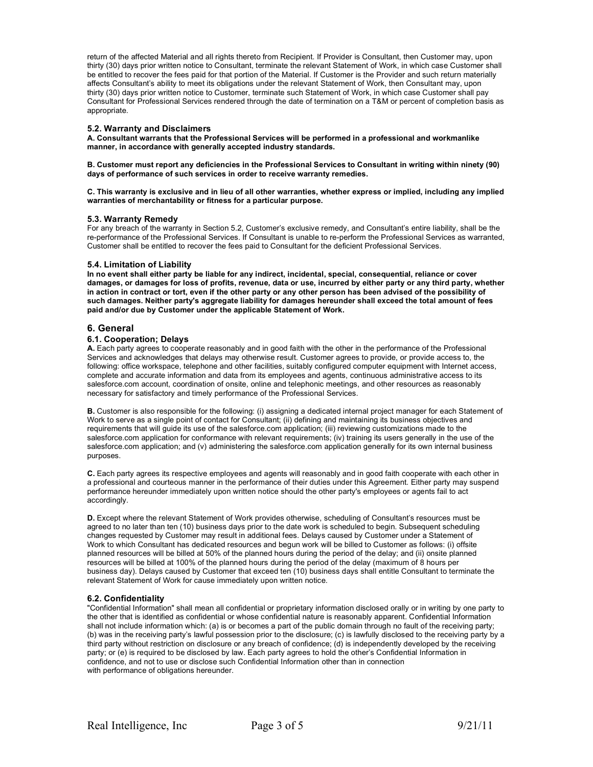return of the affected Material and all rights thereto from Recipient. If Provider is Consultant, then Customer may, upon thirty (30) days prior written notice to Consultant, terminate the relevant Statement of Work, in which case Customer shall be entitled to recover the fees paid for that portion of the Material. If Customer is the Provider and such return materially affects Consultant's ability to meet its obligations under the relevant Statement of Work, then Consultant may, upon thirty (30) days prior written notice to Customer, terminate such Statement of Work, in which case Customer shall pay Consultant for Professional Services rendered through the date of termination on a T&M or percent of completion basis as appropriate.

#### **5.2. Warranty and Disclaimers**

**A. Consultant warrants that the Professional Services will be performed in a professional and workmanlike manner, in accordance with generally accepted industry standards.**

**B. Customer must report any deficiencies in the Professional Services to Consultant in writing within ninety (90) days of performance of such services in order to receive warranty remedies.**

**C. This warranty is exclusive and in lieu of all other warranties, whether express or implied, including any implied warranties of merchantability or fitness for a particular purpose.**

#### **5.3. Warranty Remedy**

For any breach of the warranty in Section 5.2, Customer's exclusive remedy, and Consultant's entire liability, shall be the re-performance of the Professional Services. If Consultant is unable to re-perform the Professional Services as warranted, Customer shall be entitled to recover the fees paid to Consultant for the deficient Professional Services.

#### **5.4. Limitation of Liability**

**In no event shall either party be liable for any indirect, incidental, special, consequential, reliance or cover damages, or damages for loss of profits, revenue, data or use, incurred by either party or any third party, whether in action in contract or tort, even if the other party or any other person has been advised of the possibility of such damages. Neither party's aggregate liability for damages hereunder shall exceed the total amount of fees paid and/or due by Customer under the applicable Statement of Work.**

#### **6. General**

#### **6.1. Cooperation; Delays**

**A.** Each party agrees to cooperate reasonably and in good faith with the other in the performance of the Professional Services and acknowledges that delays may otherwise result. Customer agrees to provide, or provide access to, the following: office workspace, telephone and other facilities, suitably configured computer equipment with Internet access, complete and accurate information and data from its employees and agents, continuous administrative access to its salesforce.com account, coordination of onsite, online and telephonic meetings, and other resources as reasonably necessary for satisfactory and timely performance of the Professional Services.

**B.** Customer is also responsible for the following: (i) assigning a dedicated internal project manager for each Statement of Work to serve as a single point of contact for Consultant; (ii) defining and maintaining its business objectives and requirements that will guide its use of the salesforce.com application; (iii) reviewing customizations made to the salesforce.com application for conformance with relevant requirements; (iv) training its users generally in the use of the salesforce.com application; and (v) administering the salesforce.com application generally for its own internal business purposes.

**C.** Each party agrees its respective employees and agents will reasonably and in good faith cooperate with each other in a professional and courteous manner in the performance of their duties under this Agreement. Either party may suspend performance hereunder immediately upon written notice should the other party's employees or agents fail to act accordingly.

**D.** Except where the relevant Statement of Work provides otherwise, scheduling of Consultant's resources must be agreed to no later than ten (10) business days prior to the date work is scheduled to begin. Subsequent scheduling changes requested by Customer may result in additional fees. Delays caused by Customer under a Statement of Work to which Consultant has dedicated resources and begun work will be billed to Customer as follows: (i) offsite planned resources will be billed at 50% of the planned hours during the period of the delay; and (ii) onsite planned resources will be billed at 100% of the planned hours during the period of the delay (maximum of 8 hours per business day). Delays caused by Customer that exceed ten (10) business days shall entitle Consultant to terminate the relevant Statement of Work for cause immediately upon written notice.

#### **6.2. Confidentiality**

"Confidential Information" shall mean all confidential or proprietary information disclosed orally or in writing by one party to the other that is identified as confidential or whose confidential nature is reasonably apparent. Confidential Information shall not include information which: (a) is or becomes a part of the public domain through no fault of the receiving party; (b) was in the receiving party's lawful possession prior to the disclosure; (c) is lawfully disclosed to the receiving party by a third party without restriction on disclosure or any breach of confidence; (d) is independently developed by the receiving party; or (e) is required to be disclosed by law. Each party agrees to hold the other's Confidential Information in confidence, and not to use or disclose such Confidential Information other than in connection with performance of obligations hereunder.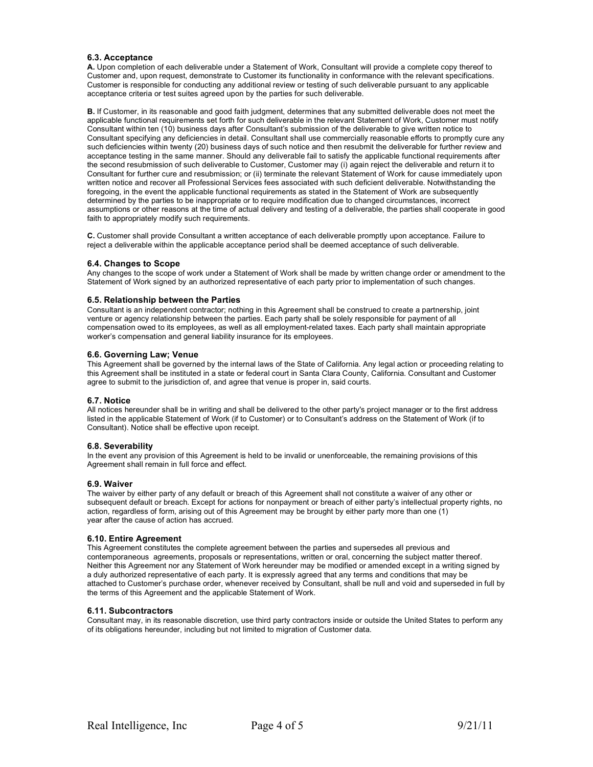#### **6.3. Acceptance**

**A.** Upon completion of each deliverable under a Statement of Work, Consultant will provide a complete copy thereof to Customer and, upon request, demonstrate to Customer its functionality in conformance with the relevant specifications. Customer is responsible for conducting any additional review or testing of such deliverable pursuant to any applicable acceptance criteria or test suites agreed upon by the parties for such deliverable.

**B.** If Customer, in its reasonable and good faith judgment, determines that any submitted deliverable does not meet the applicable functional requirements set forth for such deliverable in the relevant Statement of Work, Customer must notify Consultant within ten (10) business days after Consultant's submission of the deliverable to give written notice to Consultant specifying any deficiencies in detail. Consultant shall use commercially reasonable efforts to promptly cure any such deficiencies within twenty (20) business days of such notice and then resubmit the deliverable for further review and acceptance testing in the same manner. Should any deliverable fail to satisfy the applicable functional requirements after the second resubmission of such deliverable to Customer, Customer may (i) again reject the deliverable and return it to Consultant for further cure and resubmission; or (ii) terminate the relevant Statement of Work for cause immediately upon written notice and recover all Professional Services fees associated with such deficient deliverable. Notwithstanding the foregoing, in the event the applicable functional requirements as stated in the Statement of Work are subsequently determined by the parties to be inappropriate or to require modification due to changed circumstances, incorrect assumptions or other reasons at the time of actual delivery and testing of a deliverable, the parties shall cooperate in good faith to appropriately modify such requirements.

**C.** Customer shall provide Consultant a written acceptance of each deliverable promptly upon acceptance. Failure to reject a deliverable within the applicable acceptance period shall be deemed acceptance of such deliverable.

#### **6.4. Changes to Scope**

Any changes to the scope of work under a Statement of Work shall be made by written change order or amendment to the Statement of Work signed by an authorized representative of each party prior to implementation of such changes.

#### **6.5. Relationship between the Parties**

Consultant is an independent contractor; nothing in this Agreement shall be construed to create a partnership, joint venture or agency relationship between the parties. Each party shall be solely responsible for payment of all compensation owed to its employees, as well as all employment-related taxes. Each party shall maintain appropriate worker's compensation and general liability insurance for its employees.

#### **6.6. Governing Law; Venue**

This Agreement shall be governed by the internal laws of the State of California. Any legal action or proceeding relating to this Agreement shall be instituted in a state or federal court in Santa Clara County, California. Consultant and Customer agree to submit to the jurisdiction of, and agree that venue is proper in, said courts.

#### **6.7. Notice**

All notices hereunder shall be in writing and shall be delivered to the other party's project manager or to the first address listed in the applicable Statement of Work (if to Customer) or to Consultant's address on the Statement of Work (if to Consultant). Notice shall be effective upon receipt.

#### **6.8. Severability**

In the event any provision of this Agreement is held to be invalid or unenforceable, the remaining provisions of this Agreement shall remain in full force and effect.

#### **6.9. Waiver**

The waiver by either party of any default or breach of this Agreement shall not constitute a waiver of any other or subsequent default or breach. Except for actions for nonpayment or breach of either party's intellectual property rights, no action, regardless of form, arising out of this Agreement may be brought by either party more than one (1) year after the cause of action has accrued.

#### **6.10. Entire Agreement**

This Agreement constitutes the complete agreement between the parties and supersedes all previous and contemporaneous agreements, proposals or representations, written or oral, concerning the subject matter thereof. Neither this Agreement nor any Statement of Work hereunder may be modified or amended except in a writing signed by a duly authorized representative of each party. It is expressly agreed that any terms and conditions that may be attached to Customer's purchase order, whenever received by Consultant, shall be null and void and superseded in full by the terms of this Agreement and the applicable Statement of Work.

#### **6.11. Subcontractors**

Consultant may, in its reasonable discretion, use third party contractors inside or outside the United States to perform any of its obligations hereunder, including but not limited to migration of Customer data.